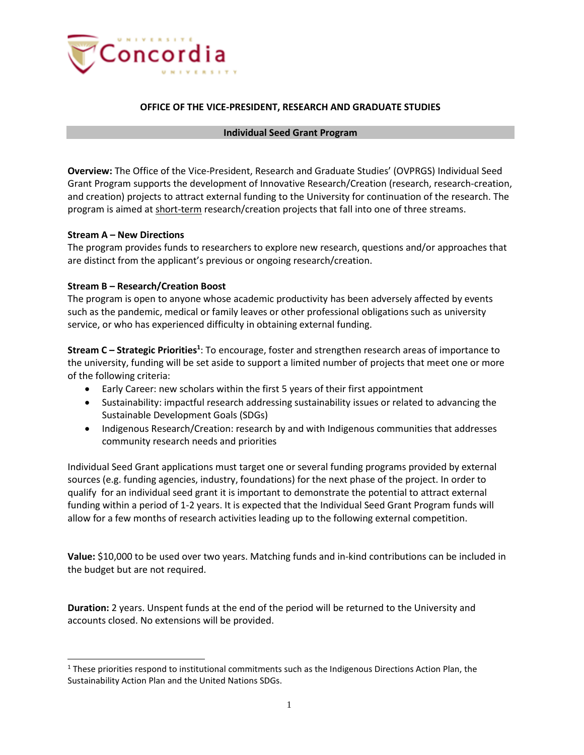

## **OFFICE OF THE VICE-PRESIDENT, RESEARCH AND GRADUATE STUDIES**

#### **Individual Seed Grant Program**

**Overview:** The Office of the Vice-President, Research and Graduate Studies' (OVPRGS) Individual Seed Grant Program supports the development of Innovative Research/Creation (research, research-creation, and creation) projects to attract external funding to the University for continuation of the research. The program is aimed at short-term research/creation projects that fall into one of three streams.

### **Stream A – New Directions**

The program provides funds to researchers to explore new research, questions and/or approaches that are distinct from the applicant's previous or ongoing research/creation.

### **Stream B – Research/Creation Boost**

The program is open to anyone whose academic productivity has been adversely affected by events such as the pandemic, medical or family leaves or other professional obligations such as university service, or who has experienced difficulty in obtaining external funding.

**Stream C – Strategic Priorities<sup>1</sup>** : To encourage, foster and strengthen research areas of importance to the university, funding will be set aside to support a limited number of projects that meet one or more of the following criteria:

- Early Career: new scholars within the first 5 years of their first appointment
- Sustainability: impactful research addressing sustainability issues or related to advancing the Sustainable Development Goals (SDGs)
- Indigenous Research/Creation: research by and with Indigenous communities that addresses community research needs and priorities

Individual Seed Grant applications must target one or several funding programs provided by external sources (e.g. funding agencies, industry, foundations) for the next phase of the project. In order to qualify for an individual seed grant it is important to demonstrate the potential to attract external funding within a period of 1-2 years. It is expected that the Individual Seed Grant Program funds will allow for a few months of research activities leading up to the following external competition.

**Value:** \$10,000 to be used over two years. Matching funds and in-kind contributions can be included in the budget but are not required.

**Duration:** 2 years. Unspent funds at the end of the period will be returned to the University and accounts closed. No extensions will be provided.

 $1$  These priorities respond to institutional commitments such as the Indigenous Directions Action Plan, the Sustainability Action Plan and the United Nations SDGs.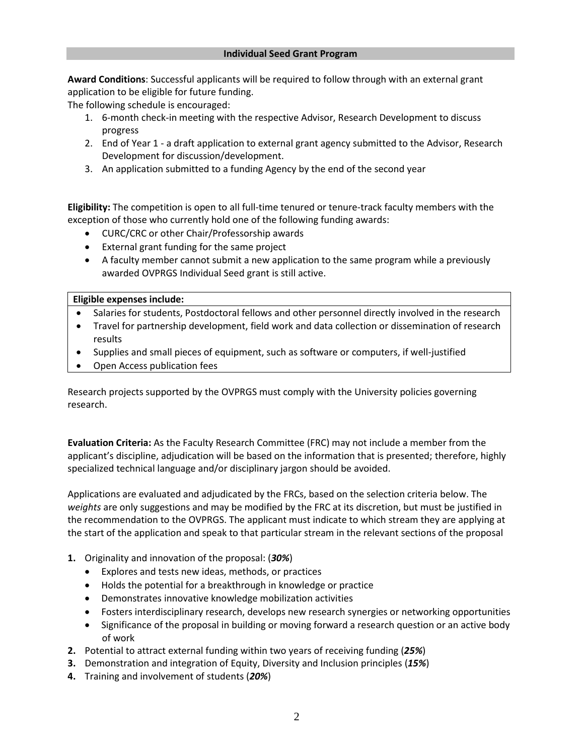**Award Conditions**: Successful applicants will be required to follow through with an external grant application to be eligible for future funding.

The following schedule is encouraged:

- 1. 6-month check-in meeting with the respective Advisor, Research Development to discuss progress
- 2. End of Year 1 a draft application to external grant agency submitted to the Advisor, Research Development for discussion/development.
- 3. An application submitted to a funding Agency by the end of the second year

**Eligibility:** The competition is open to all full-time tenured or tenure-track faculty members with the exception of those who currently hold one of the following funding awards:

- CURC/CRC or other Chair/Professorship awards
- External grant funding for the same project
- A faculty member cannot submit a new application to the same program while a previously awarded OVPRGS Individual Seed grant is still active.

**Eligible expenses include:**

- Salaries for students, Postdoctoral fellows and other personnel directly involved in the research
- Travel for partnership development, field work and data collection or dissemination of research results
- Supplies and small pieces of equipment, such as software or computers, if well-justified
- Open Access publication fees

Research projects supported by the OVPRGS must comply with the University policies governing research.

**Evaluation Criteria:** As the Faculty Research Committee (FRC) may not include a member from the applicant's discipline, adjudication will be based on the information that is presented; therefore, highly specialized technical language and/or disciplinary jargon should be avoided.

Applications are evaluated and adjudicated by the FRCs, based on the selection criteria below. The *weights* are only suggestions and may be modified by the FRC at its discretion, but must be justified in the recommendation to the OVPRGS. The applicant must indicate to which stream they are applying at the start of the application and speak to that particular stream in the relevant sections of the proposal

- **1.** Originality and innovation of the proposal: (*30%*)
	- Explores and tests new ideas, methods, or practices
	- Holds the potential for a breakthrough in knowledge or practice
	- Demonstrates innovative knowledge mobilization activities
	- Fosters interdisciplinary research, develops new research synergies or networking opportunities
	- Significance of the proposal in building or moving forward a research question or an active body of work
- **2.** Potential to attract external funding within two years of receiving funding (*25%*)
- **3.** Demonstration and integration of Equity, Diversity and Inclusion principles (*15%*)
- **4.** Training and involvement of students (*20%*)